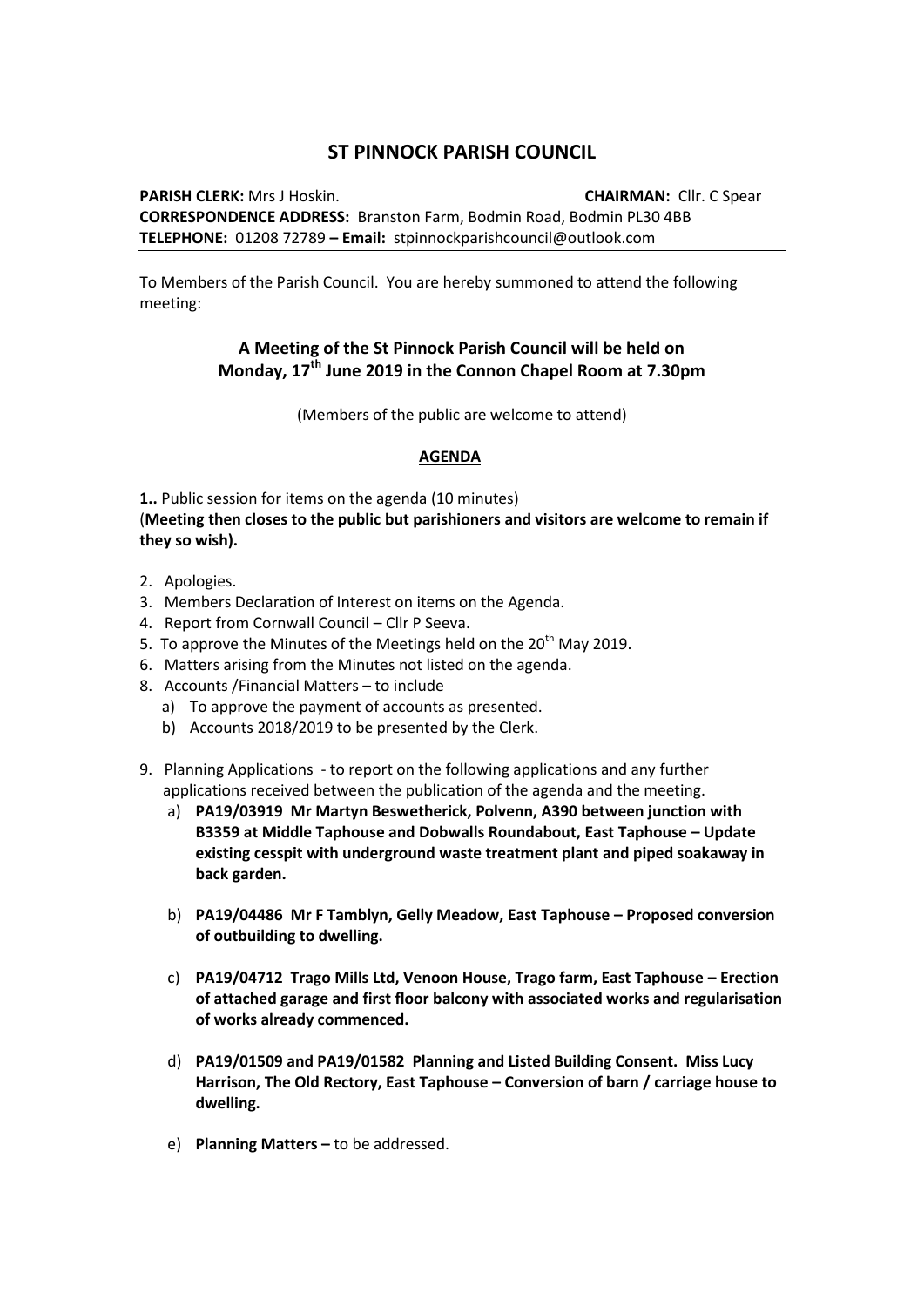## **ST PINNOCK PARISH COUNCIL**

**PARISH CLERK:** Mrs J Hoskin. **CHAIRMAN:** Cllr. C Spear **CORRESPONDENCE ADDRESS:** Branston Farm, Bodmin Road, Bodmin PL30 4BB **TELEPHONE:** 01208 72789 **– Email:** stpinnockparishcouncil@outlook.com

To Members of the Parish Council. You are hereby summoned to attend the following meeting:

## **A Meeting of the St Pinnock Parish Council will be held on Monday, 17th June 2019 in the Connon Chapel Room at 7.30pm**

(Members of the public are welcome to attend)

## **AGENDA**

**1..** Public session for items on the agenda (10 minutes) (**Meeting then closes to the public but parishioners and visitors are welcome to remain if they so wish).**

- 2. Apologies.
- 3. Members Declaration of Interest on items on the Agenda.
- 4. Report from Cornwall Council Cllr P Seeva.
- 5. To approve the Minutes of the Meetings held on the  $20<sup>th</sup>$  May 2019.
- 6. Matters arising from the Minutes not listed on the agenda.
- 8. Accounts /Financial Matters to include
	- a) To approve the payment of accounts as presented.
	- b) Accounts 2018/2019 to be presented by the Clerk.
- 9. Planning Applications to report on the following applications and any further applications received between the publication of the agenda and the meeting.
	- a) **PA19/03919 Mr Martyn Beswetherick, Polvenn, A390 between junction with B3359 at Middle Taphouse and Dobwalls Roundabout, East Taphouse – Update existing cesspit with underground waste treatment plant and piped soakaway in back garden.**
	- b) **PA19/04486 Mr F Tamblyn, Gelly Meadow, East Taphouse – Proposed conversion of outbuilding to dwelling.**
	- c) **PA19/04712 Trago Mills Ltd, Venoon House, Trago farm, East Taphouse – Erection of attached garage and first floor balcony with associated works and regularisation of works already commenced.**
	- d) **PA19/01509 and PA19/01582 Planning and Listed Building Consent. Miss Lucy Harrison, The Old Rectory, East Taphouse – Conversion of barn / carriage house to dwelling.**
	- e) **Planning Matters –** to be addressed.